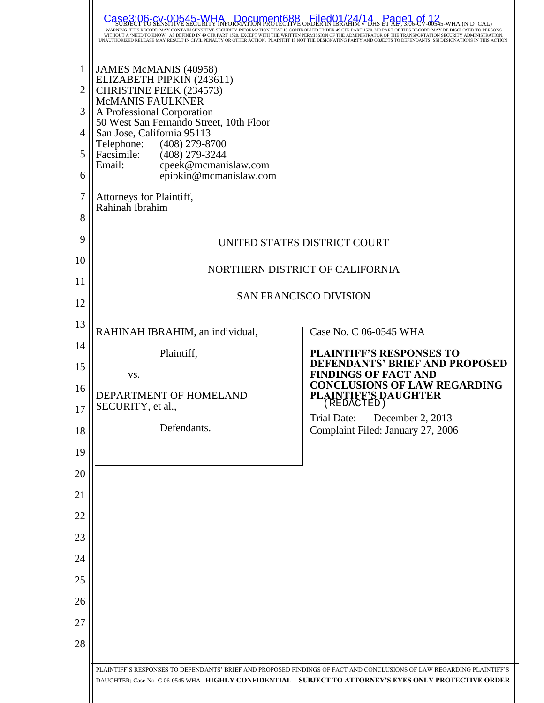|                | Document688<br>Filed01/24/14 Page1<br>Case3<br>WITHOUT A 'NEED TO KNOW, AS DEFINED IN 49 CFR PART 1520, EXCEPT WITH THE WRITTEN PERMISSION OF THE ADMINISTRATOR OF THE TRANSPORTATION SECURITY ADMINISTRATION.<br>UNAUTHORIZED RELEASE MAY RESULT IN CIVIL PENALTY OR OTHER ACTION. PLAINTIFF IS NOT THE DESIGNATING PARTY AND OBJECTS TO DEFENDANTS SSI DESIGNATIONS IN THIS ACTION |                                                                                                        |  |  |  |
|----------------|--------------------------------------------------------------------------------------------------------------------------------------------------------------------------------------------------------------------------------------------------------------------------------------------------------------------------------------------------------------------------------------|--------------------------------------------------------------------------------------------------------|--|--|--|
| $\mathbf{1}$   | JAMES McMANIS (40958)<br>ELIZABETH PIPKIN (243611)                                                                                                                                                                                                                                                                                                                                   |                                                                                                        |  |  |  |
| $\overline{2}$ | CHRISTINE PEEK (234573)<br>McMANIS FAULKNER                                                                                                                                                                                                                                                                                                                                          |                                                                                                        |  |  |  |
| 3<br>4         | A Professional Corporation<br>50 West San Fernando Street, 10th Floor                                                                                                                                                                                                                                                                                                                |                                                                                                        |  |  |  |
| 5              | San Jose, California 95113<br>Telephone:<br>$(408)$ 279-8700<br>Facsimile:<br>$(408)$ 279-3244                                                                                                                                                                                                                                                                                       |                                                                                                        |  |  |  |
| 6              | Email:<br>cpeek@mcmanislaw.com<br>epipkin@mcmanislaw.com                                                                                                                                                                                                                                                                                                                             |                                                                                                        |  |  |  |
| 7              | Attorneys for Plaintiff,<br>Rahinah Ibrahim                                                                                                                                                                                                                                                                                                                                          |                                                                                                        |  |  |  |
| 8              |                                                                                                                                                                                                                                                                                                                                                                                      |                                                                                                        |  |  |  |
| 9              |                                                                                                                                                                                                                                                                                                                                                                                      | UNITED STATES DISTRICT COURT                                                                           |  |  |  |
| 10             |                                                                                                                                                                                                                                                                                                                                                                                      | NORTHERN DISTRICT OF CALIFORNIA                                                                        |  |  |  |
| 11             | <b>SAN FRANCISCO DIVISION</b>                                                                                                                                                                                                                                                                                                                                                        |                                                                                                        |  |  |  |
| 12             |                                                                                                                                                                                                                                                                                                                                                                                      |                                                                                                        |  |  |  |
| 13             | RAHINAH IBRAHIM, an individual,                                                                                                                                                                                                                                                                                                                                                      | Case No. C 06-0545 WHA                                                                                 |  |  |  |
| 14<br>15       | Plaintiff,                                                                                                                                                                                                                                                                                                                                                                           | PLAINTIFF'S RESPONSES TO<br><b>DEFENDANTS' BRIEF AND PROPOSED</b>                                      |  |  |  |
| 16             | VS.                                                                                                                                                                                                                                                                                                                                                                                  | <b>FINDINGS OF FACT AND</b><br><b>CONCLUSIONS OF LAW REGARDING</b>                                     |  |  |  |
| 17             | DEPARTMENT OF HOMELAND<br>SECURITY, et al.,                                                                                                                                                                                                                                                                                                                                          | PLAINTIFF'S DAUGHTER                                                                                   |  |  |  |
| 18             | Defendants.                                                                                                                                                                                                                                                                                                                                                                          | Trial Date:<br>December 2, 2013<br>Complaint Filed: January 27, 2006                                   |  |  |  |
| 19             |                                                                                                                                                                                                                                                                                                                                                                                      |                                                                                                        |  |  |  |
| 20             |                                                                                                                                                                                                                                                                                                                                                                                      |                                                                                                        |  |  |  |
| 21             |                                                                                                                                                                                                                                                                                                                                                                                      |                                                                                                        |  |  |  |
| 22             |                                                                                                                                                                                                                                                                                                                                                                                      |                                                                                                        |  |  |  |
| 23             |                                                                                                                                                                                                                                                                                                                                                                                      |                                                                                                        |  |  |  |
| 24             |                                                                                                                                                                                                                                                                                                                                                                                      |                                                                                                        |  |  |  |
| 25             |                                                                                                                                                                                                                                                                                                                                                                                      |                                                                                                        |  |  |  |
| 26             |                                                                                                                                                                                                                                                                                                                                                                                      |                                                                                                        |  |  |  |
| 27             |                                                                                                                                                                                                                                                                                                                                                                                      |                                                                                                        |  |  |  |
| 28             |                                                                                                                                                                                                                                                                                                                                                                                      |                                                                                                        |  |  |  |
|                | PLAINTIFF'S RESPONSES TO DEFENDANTS' BRIEF AND PROPOSED FINDINGS OF FACT AND CONCLUSIONS OF LAW REGARDING PLAINTIFF'S                                                                                                                                                                                                                                                                | DAUGHTER; Case No C 06-0545 WHA HIGHLY CONFIDENTIAL - SUBJECT TO ATTORNEY'S EYES ONLY PROTECTIVE ORDER |  |  |  |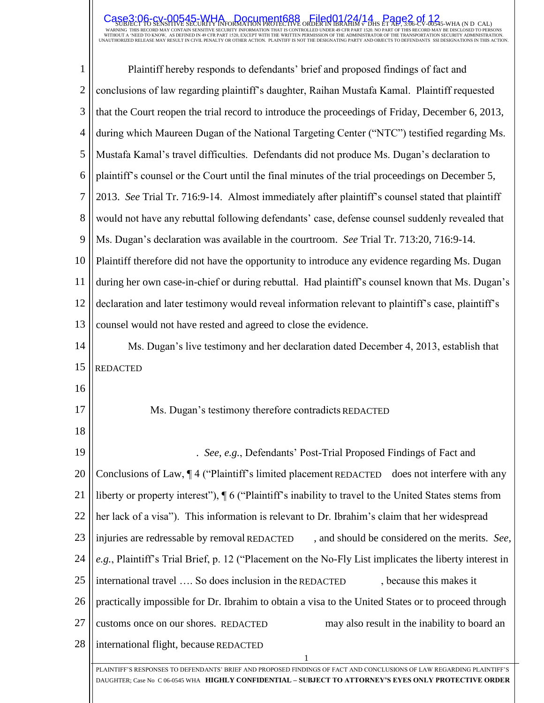SUBJECT TO SENSITIVE SECURITY INFORMATION PROTECTIVE ORDER IN IBRAHIM <del>6</del> DHS ET ALL, SUG-CV-00545-WHA (N D CAL)<br>warning this record may contain sensitive security information that is controlled under 49 cfr part 1520. No  $\textsf{Case3:}$  O6-cv-00545-WHA Document688 Filed01/24/14 Page2 of 12

| 1              | Plaintiff hereby responds to defendants' brief and proposed findings of fact and                                      |  |  |  |
|----------------|-----------------------------------------------------------------------------------------------------------------------|--|--|--|
| $\overline{2}$ | conclusions of law regarding plaintiff's daughter, Raihan Mustafa Kamal. Plaintiff requested                          |  |  |  |
| 3              | that the Court reopen the trial record to introduce the proceedings of Friday, December 6, 2013,                      |  |  |  |
| $\overline{4}$ | during which Maureen Dugan of the National Targeting Center ("NTC") testified regarding Ms.                           |  |  |  |
| 5              | Mustafa Kamal's travel difficulties. Defendants did not produce Ms. Dugan's declaration to                            |  |  |  |
| 6              | plaintiff's counsel or the Court until the final minutes of the trial proceedings on December 5,                      |  |  |  |
| 7              | 2013. See Trial Tr. 716:9-14. Almost immediately after plaintiff's counsel stated that plaintiff                      |  |  |  |
| 8              | would not have any rebuttal following defendants' case, defense counsel suddenly revealed that                        |  |  |  |
| 9              | Ms. Dugan's declaration was available in the courtroom. See Trial Tr. 713:20, 716:9-14.                               |  |  |  |
| 10             | Plaintiff therefore did not have the opportunity to introduce any evidence regarding Ms. Dugan                        |  |  |  |
| 11             | during her own case-in-chief or during rebuttal. Had plaintiff's counsel known that Ms. Dugan's                       |  |  |  |
| 12             | declaration and later testimony would reveal information relevant to plaintiff's case, plaintiff's                    |  |  |  |
| 13             | counsel would not have rested and agreed to close the evidence.                                                       |  |  |  |
| 14             | Ms. Dugan's live testimony and her declaration dated December 4, 2013, establish that                                 |  |  |  |
| 15             | <b>REDACTED</b>                                                                                                       |  |  |  |
| 16             |                                                                                                                       |  |  |  |
| 17             | Ms. Dugan's testimony therefore contradicts REDACTED                                                                  |  |  |  |
| 18             |                                                                                                                       |  |  |  |
| 19             | . See, e.g., Defendants' Post-Trial Proposed Findings of Fact and                                                     |  |  |  |
| 20             | Conclusions of Law, ¶4 ("Plaintiff's limited placement REDACTED does not interfere with any                           |  |  |  |
| 21             | liberty or property interest"), $\P$ 6 ("Plaintiff" s inability to travel to the United States stems from             |  |  |  |
| 22             | her lack of a visa"). This information is relevant to Dr. Ibrahim's claim that her widespread                         |  |  |  |
| 23             | injuries are redressable by removal REDACTED<br>, and should be considered on the merits. See,                        |  |  |  |
| 24             | e.g., Plaintiff's Trial Brief, p. 12 ("Placement on the No-Fly List implicates the liberty interest in                |  |  |  |
| 25             | international travel  So does inclusion in the REDACTED<br>, because this makes it                                    |  |  |  |
| 26             | practically impossible for Dr. Ibrahim to obtain a visa to the United States or to proceed through                    |  |  |  |
| 27             | may also result in the inability to board an<br>customs once on our shores. REDACTED                                  |  |  |  |
| 28             | international flight, because REDACTED                                                                                |  |  |  |
|                | PLAINTIFF'S RESPONSES TO DEFENDANTS' BRIEF AND PROPOSED FINDINGS OF FACT AND CONCLUSIONS OF LAW REGARDING PLAINTIFF'S |  |  |  |
|                | DAUGHTER: Case No C 06-0545 WHA   HIGHLY CONFIDENTIAL – SUBJECT TO ATTORNEY'S EYES ONLY PROTECTIVE ORDER              |  |  |  |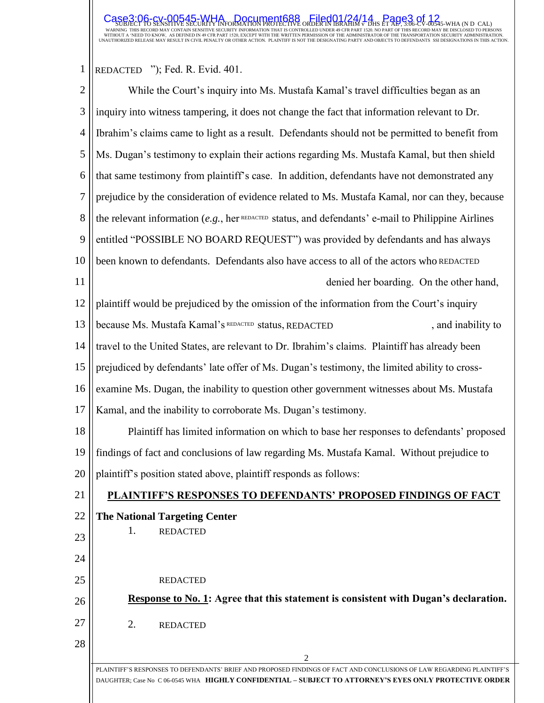## SUBJECT TO SENSITIVE SECURITY INFORMATION PROTECTIVE ORDER IN IBRAHIM <del>6</del> DHS ET ALL, SUG-CV-00545-WHA (N D CAL)<br>warning this record may contain sensitive security information that is controlled under 49 cfr part 1520. No  $\textsf{Case3:}$  O6-cv-00545-WHA Document688 Filed01/24/14 Page3 of 12

## $1 \parallel$ REDACTED "); Fed. R. Evid. 401.

| $\overline{2}$ | While the Court's inquiry into Ms. Mustafa Kamal's travel difficulties began as an                                                                                                                                              |  |  |  |  |
|----------------|---------------------------------------------------------------------------------------------------------------------------------------------------------------------------------------------------------------------------------|--|--|--|--|
| 3              | inquiry into witness tampering, it does not change the fact that information relevant to Dr.                                                                                                                                    |  |  |  |  |
| 4              | Ibrahim's claims came to light as a result. Defendants should not be permitted to benefit from                                                                                                                                  |  |  |  |  |
| 5              | Ms. Dugan's testimony to explain their actions regarding Ms. Mustafa Kamal, but then shield                                                                                                                                     |  |  |  |  |
| 6              | that same testimony from plaintiff's case. In addition, defendants have not demonstrated any                                                                                                                                    |  |  |  |  |
| 7              | prejudice by the consideration of evidence related to Ms. Mustafa Kamal, nor can they, because                                                                                                                                  |  |  |  |  |
| 8              | the relevant information (e.g., her REDACTED status, and defendants' e-mail to Philippine Airlines                                                                                                                              |  |  |  |  |
| 9              | entitled "POSSIBLE NO BOARD REQUEST") was provided by defendants and has always                                                                                                                                                 |  |  |  |  |
| 10             | been known to defendants. Defendants also have access to all of the actors who REDACTED                                                                                                                                         |  |  |  |  |
| 11             | denied her boarding. On the other hand,                                                                                                                                                                                         |  |  |  |  |
| 12             | plaintiff would be prejudiced by the omission of the information from the Court's inquiry                                                                                                                                       |  |  |  |  |
| 13             | because Ms. Mustafa Kamal's REDACTED status, REDACTED<br>, and inability to                                                                                                                                                     |  |  |  |  |
| 14             | travel to the United States, are relevant to Dr. Ibrahim's claims. Plaintiff has already been                                                                                                                                   |  |  |  |  |
| 15             | prejudiced by defendants' late offer of Ms. Dugan's testimony, the limited ability to cross-                                                                                                                                    |  |  |  |  |
| 16             | examine Ms. Dugan, the inability to question other government witnesses about Ms. Mustafa                                                                                                                                       |  |  |  |  |
| 17             | Kamal, and the inability to corroborate Ms. Dugan's testimony.                                                                                                                                                                  |  |  |  |  |
| 18             | Plaintiff has limited information on which to base her responses to defendants' proposed                                                                                                                                        |  |  |  |  |
| 19             | findings of fact and conclusions of law regarding Ms. Mustafa Kamal. Without prejudice to                                                                                                                                       |  |  |  |  |
| $20$           | plaintiff's position stated above, plaintiff responds as follows:                                                                                                                                                               |  |  |  |  |
| 21             | PLAINTIFF'S RESPONSES TO DEFENDANTS' PROPOSED FINDINGS OF FACT                                                                                                                                                                  |  |  |  |  |
| 22             | <b>The National Targeting Center</b>                                                                                                                                                                                            |  |  |  |  |
| 23             | 1.<br><b>REDACTED</b>                                                                                                                                                                                                           |  |  |  |  |
| 24             |                                                                                                                                                                                                                                 |  |  |  |  |
| 25             | <b>REDACTED</b>                                                                                                                                                                                                                 |  |  |  |  |
| 26             | <b>Response to No. 1:</b> Agree that this statement is consistent with Dugan's declaration.                                                                                                                                     |  |  |  |  |
| 27             | 2.<br><b>REDACTED</b>                                                                                                                                                                                                           |  |  |  |  |
| 28             |                                                                                                                                                                                                                                 |  |  |  |  |
|                | 2                                                                                                                                                                                                                               |  |  |  |  |
|                | PLAINTIFF'S RESPONSES TO DEFENDANTS' BRIEF AND PROPOSED FINDINGS OF FACT AND CONCLUSIONS OF LAW REGARDING PLAINTIFF'S<br>DAUGHTER; Case No C 06-0545 WHA HIGHLY CONFIDENTIAL - SUBJECT TO ATTORNEY'S EYES ONLY PROTECTIVE ORDER |  |  |  |  |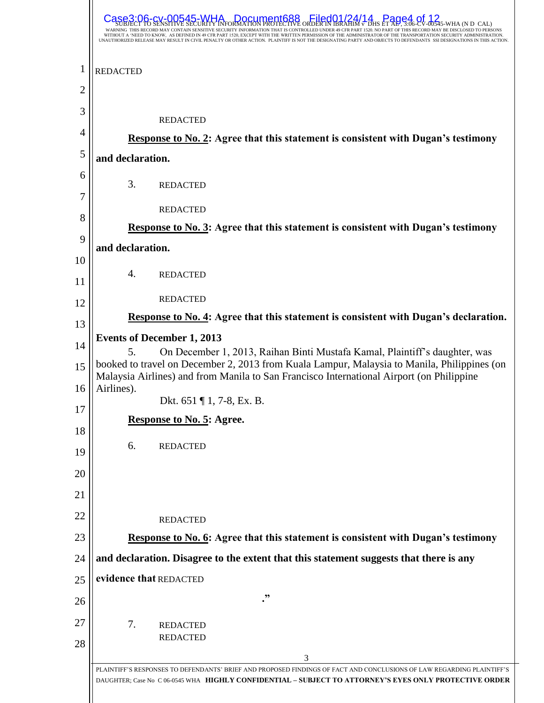|                | <b>RR545-WHA Document688</b><br><b>Filed01/24/14 Page4</b><br>ED TO KNOW. AS DEFINED IN 49 CFR PART 1520, EXCEPT WITH THE WRITTEN PERMISSION OF THE ADMINISTRATOR OF THE TRANSPORTATION SECURITY ADMINI<br>ZED RELEASE MAY RESULT IN CIVIL PENALTY OR OTHER ACTION.  PLAINTIFF IS NOT THE DESIGNATING PARTY AND OBJECTS TO DEFENDANTS |  |  |  |
|----------------|---------------------------------------------------------------------------------------------------------------------------------------------------------------------------------------------------------------------------------------------------------------------------------------------------------------------------------------|--|--|--|
| 1              | <b>REDACTED</b>                                                                                                                                                                                                                                                                                                                       |  |  |  |
| $\overline{2}$ |                                                                                                                                                                                                                                                                                                                                       |  |  |  |
| 3              | <b>REDACTED</b>                                                                                                                                                                                                                                                                                                                       |  |  |  |
| 4              | <b>Response to No. 2:</b> Agree that this statement is consistent with Dugan's testimony                                                                                                                                                                                                                                              |  |  |  |
| 5              | and declaration.                                                                                                                                                                                                                                                                                                                      |  |  |  |
| 6<br>7         | 3.<br><b>REDACTED</b>                                                                                                                                                                                                                                                                                                                 |  |  |  |
| 8              | <b>REDACTED</b>                                                                                                                                                                                                                                                                                                                       |  |  |  |
| 9              | <b>Response to No. 3: Agree that this statement is consistent with Dugan's testimony</b>                                                                                                                                                                                                                                              |  |  |  |
| 10             | and declaration.                                                                                                                                                                                                                                                                                                                      |  |  |  |
| 11             | 4.<br><b>REDACTED</b>                                                                                                                                                                                                                                                                                                                 |  |  |  |
| 12             | <b>REDACTED</b>                                                                                                                                                                                                                                                                                                                       |  |  |  |
| 13             | Response to No. 4: Agree that this statement is consistent with Dugan's declaration.                                                                                                                                                                                                                                                  |  |  |  |
| 14             | <b>Events of December 1, 2013</b><br>5.                                                                                                                                                                                                                                                                                               |  |  |  |
| 15             | On December 1, 2013, Raihan Binti Mustafa Kamal, Plaintiff's daughter, was<br>booked to travel on December 2, 2013 from Kuala Lampur, Malaysia to Manila, Philippines (on<br>Malaysia Airlines) and from Manila to San Francisco International Airport (on Philippine                                                                 |  |  |  |
| 16             | Airlines).<br>Dkt. 651 ¶ 1, 7-8, Ex. B.                                                                                                                                                                                                                                                                                               |  |  |  |
| 17             | <b>Response to No. 5: Agree.</b>                                                                                                                                                                                                                                                                                                      |  |  |  |
| 18             | 6.<br><b>REDACTED</b>                                                                                                                                                                                                                                                                                                                 |  |  |  |
| 19<br>20       |                                                                                                                                                                                                                                                                                                                                       |  |  |  |
| 21             |                                                                                                                                                                                                                                                                                                                                       |  |  |  |
| 22             |                                                                                                                                                                                                                                                                                                                                       |  |  |  |
| 23             | <b>REDACTED</b><br><b>Response to No. 6: Agree that this statement is consistent with Dugan's testimony</b>                                                                                                                                                                                                                           |  |  |  |
| 24             | and declaration. Disagree to the extent that this statement suggests that there is any                                                                                                                                                                                                                                                |  |  |  |
| 25             | evidence that REDACTED                                                                                                                                                                                                                                                                                                                |  |  |  |
| 26             | ."                                                                                                                                                                                                                                                                                                                                    |  |  |  |
| 27             | 7.<br><b>REDACTED</b>                                                                                                                                                                                                                                                                                                                 |  |  |  |
| 28             | <b>REDACTED</b>                                                                                                                                                                                                                                                                                                                       |  |  |  |
|                | 3                                                                                                                                                                                                                                                                                                                                     |  |  |  |
|                | PLAINTIFF'S RESPONSES TO DEFENDANTS' BRIEF AND PROPOSED FINDINGS OF FACT AND CONCLUSIONS OF LAW REGARDING PLAINTIFF'S<br>DAUGHTER; Case No C 06-0545 WHA HIGHLY CONFIDENTIAL - SUBJECT TO ATTORNEY'S EYES ONLY PROTECTIVE ORDER                                                                                                       |  |  |  |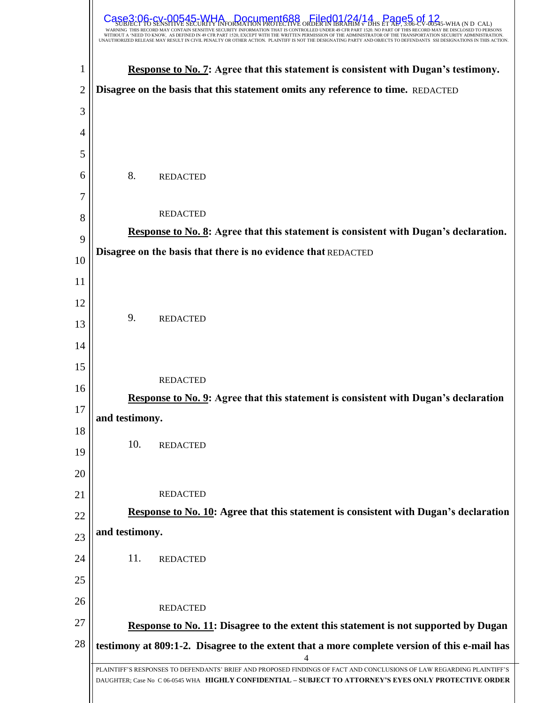|                | NEED TO KNOW. AS DEFINED IN 49 CFR PART 1520, EXCEPT WITH THE WRITTEN PERMISSION OF THE ADMINISTRATOR OF THE TRANSPORTATION SECURITY<br>UNAUTHORIZED RELEASE MAY RESULT IN CIVIL PENALTY OR OTHER ACTION. PLAINTIFF IS NOT THE DESIGNATING PARTY AND OBJECTS TO DEFENDANTS |  |  |  |  |
|----------------|----------------------------------------------------------------------------------------------------------------------------------------------------------------------------------------------------------------------------------------------------------------------------|--|--|--|--|
| 1              | Response to No. 7: Agree that this statement is consistent with Dugan's testimony.                                                                                                                                                                                         |  |  |  |  |
| $\overline{2}$ | Disagree on the basis that this statement omits any reference to time. REDACTED                                                                                                                                                                                            |  |  |  |  |
| 3              |                                                                                                                                                                                                                                                                            |  |  |  |  |
| 4              |                                                                                                                                                                                                                                                                            |  |  |  |  |
| 5              |                                                                                                                                                                                                                                                                            |  |  |  |  |
| 6              | 8.<br><b>REDACTED</b>                                                                                                                                                                                                                                                      |  |  |  |  |
| 7<br>8         | <b>REDACTED</b>                                                                                                                                                                                                                                                            |  |  |  |  |
|                | Response to No. 8: Agree that this statement is consistent with Dugan's declaration.                                                                                                                                                                                       |  |  |  |  |
| 9              | Disagree on the basis that there is no evidence that REDACTED                                                                                                                                                                                                              |  |  |  |  |
| 10<br>11       |                                                                                                                                                                                                                                                                            |  |  |  |  |
| 12             |                                                                                                                                                                                                                                                                            |  |  |  |  |
| 13             | 9.<br><b>REDACTED</b>                                                                                                                                                                                                                                                      |  |  |  |  |
| 14             |                                                                                                                                                                                                                                                                            |  |  |  |  |
| 15             |                                                                                                                                                                                                                                                                            |  |  |  |  |
| 16             | <b>REDACTED</b>                                                                                                                                                                                                                                                            |  |  |  |  |
| 17             | Response to No. 9: Agree that this statement is consistent with Dugan's declaration                                                                                                                                                                                        |  |  |  |  |
| 18             | and testimony.                                                                                                                                                                                                                                                             |  |  |  |  |
| 19             | 10.<br><b>REDACTED</b>                                                                                                                                                                                                                                                     |  |  |  |  |
| 20             |                                                                                                                                                                                                                                                                            |  |  |  |  |
| 21             | <b>REDACTED</b>                                                                                                                                                                                                                                                            |  |  |  |  |
| 22             | Response to No. 10: Agree that this statement is consistent with Dugan's declaration                                                                                                                                                                                       |  |  |  |  |
| 23             | and testimony.                                                                                                                                                                                                                                                             |  |  |  |  |
| 24             | 11.<br><b>REDACTED</b>                                                                                                                                                                                                                                                     |  |  |  |  |
| 25             |                                                                                                                                                                                                                                                                            |  |  |  |  |
| 26             |                                                                                                                                                                                                                                                                            |  |  |  |  |
| 27             | <b>REDACTED</b>                                                                                                                                                                                                                                                            |  |  |  |  |
| 28             | Response to No. 11: Disagree to the extent this statement is not supported by Dugan<br>testimony at 809:1-2. Disagree to the extent that a more complete version of this e-mail has                                                                                        |  |  |  |  |
|                |                                                                                                                                                                                                                                                                            |  |  |  |  |
|                | PLAINTIFF'S RESPONSES TO DEFENDANTS' BRIEF AND PROPOSED FINDINGS OF FACT AND CONCLUSIONS OF LAW REGARDING PLAINTIFF'S<br>DAUGHTER; Case No C 06-0545 WHA HIGHLY CONFIDENTIAL - SUBJECT TO ATTORNEY'S EYES ONLY PROTECTIVE ORDER                                            |  |  |  |  |
|                |                                                                                                                                                                                                                                                                            |  |  |  |  |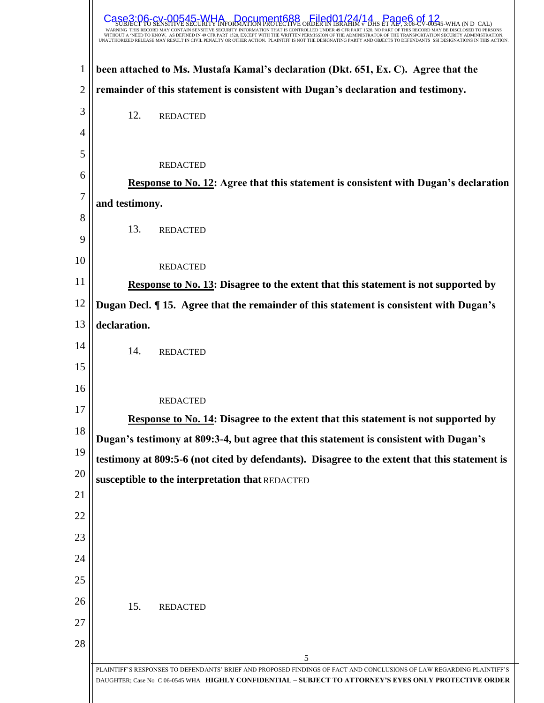|                | ORDER IN BR<br>$\frac{1}{2}$ 545-WHA (N D CAL)<br>SENSITIVE SECURITY INFORMATION THAT IS CONTROLLED UNDER 49                                                                                                                                                                                                                          |  |  |  |  |
|----------------|---------------------------------------------------------------------------------------------------------------------------------------------------------------------------------------------------------------------------------------------------------------------------------------------------------------------------------------|--|--|--|--|
|                | WITHOUT A 'NEED TO KNOW. AS DEFINED IN 49 CFR PART 1520, EXCEPT WITH THE WRITTEN PERMISSION OF THE ADMINISTRATOR OF THE TRANSPORTATION SECURITY ADMINISTRATION.<br>UNAUTHORIZED RELEASE MAY RESULT IN CIVIL PENALTY OR OTHER ACTION. PLAINTIFF IS NOT THE DESIGNATING PARTY AND OBJECTS TO DEFENDANTS SSI DESIGNATIONS IN THIS ACTION |  |  |  |  |
| 1              | been attached to Ms. Mustafa Kamal's declaration (Dkt. 651, Ex. C). Agree that the                                                                                                                                                                                                                                                    |  |  |  |  |
| $\overline{2}$ | remainder of this statement is consistent with Dugan's declaration and testimony.                                                                                                                                                                                                                                                     |  |  |  |  |
| 3              | 12.<br><b>REDACTED</b>                                                                                                                                                                                                                                                                                                                |  |  |  |  |
| 4              |                                                                                                                                                                                                                                                                                                                                       |  |  |  |  |
| 5              | <b>REDACTED</b>                                                                                                                                                                                                                                                                                                                       |  |  |  |  |
| 6              | Response to No. 12: Agree that this statement is consistent with Dugan's declaration                                                                                                                                                                                                                                                  |  |  |  |  |
| 7              | and testimony.                                                                                                                                                                                                                                                                                                                        |  |  |  |  |
| 8              | 13.<br><b>REDACTED</b>                                                                                                                                                                                                                                                                                                                |  |  |  |  |
| 9              |                                                                                                                                                                                                                                                                                                                                       |  |  |  |  |
| 10             | <b>REDACTED</b>                                                                                                                                                                                                                                                                                                                       |  |  |  |  |
| 11             | Response to No. 13: Disagree to the extent that this statement is not supported by                                                                                                                                                                                                                                                    |  |  |  |  |
| 12             | Dugan Decl. ¶ 15. Agree that the remainder of this statement is consistent with Dugan's                                                                                                                                                                                                                                               |  |  |  |  |
| 13             | declaration.                                                                                                                                                                                                                                                                                                                          |  |  |  |  |
| 14             | 14.<br><b>REDACTED</b>                                                                                                                                                                                                                                                                                                                |  |  |  |  |
| 15             |                                                                                                                                                                                                                                                                                                                                       |  |  |  |  |
| 16             | <b>REDACTED</b>                                                                                                                                                                                                                                                                                                                       |  |  |  |  |
| 17             | <b>Response to No. 14: Disagree to the extent that this statement is not supported by</b>                                                                                                                                                                                                                                             |  |  |  |  |
| 18             | Dugan's testimony at 809:3-4, but agree that this statement is consistent with Dugan's                                                                                                                                                                                                                                                |  |  |  |  |
| 19             | testimony at 809:5-6 (not cited by defendants). Disagree to the extent that this statement is                                                                                                                                                                                                                                         |  |  |  |  |
| 20             | susceptible to the interpretation that REDACTED                                                                                                                                                                                                                                                                                       |  |  |  |  |
| 21             |                                                                                                                                                                                                                                                                                                                                       |  |  |  |  |
| 22             |                                                                                                                                                                                                                                                                                                                                       |  |  |  |  |
| 23             |                                                                                                                                                                                                                                                                                                                                       |  |  |  |  |
| 24             |                                                                                                                                                                                                                                                                                                                                       |  |  |  |  |
| 25             |                                                                                                                                                                                                                                                                                                                                       |  |  |  |  |
| 26             | 15.<br><b>REDACTED</b>                                                                                                                                                                                                                                                                                                                |  |  |  |  |
| 27             |                                                                                                                                                                                                                                                                                                                                       |  |  |  |  |
| 28             | 5                                                                                                                                                                                                                                                                                                                                     |  |  |  |  |
|                | PLAINTIFF'S RESPONSES TO DEFENDANTS' BRIEF AND PROPOSED FINDINGS OF FACT AND CONCLUSIONS OF LAW REGARDING PLAINTIFF'S<br>DAUGHTER; Case No C 06-0545 WHA HIGHLY CONFIDENTIAL - SUBJECT TO ATTORNEY'S EYES ONLY PROTECTIVE ORDER                                                                                                       |  |  |  |  |
|                |                                                                                                                                                                                                                                                                                                                                       |  |  |  |  |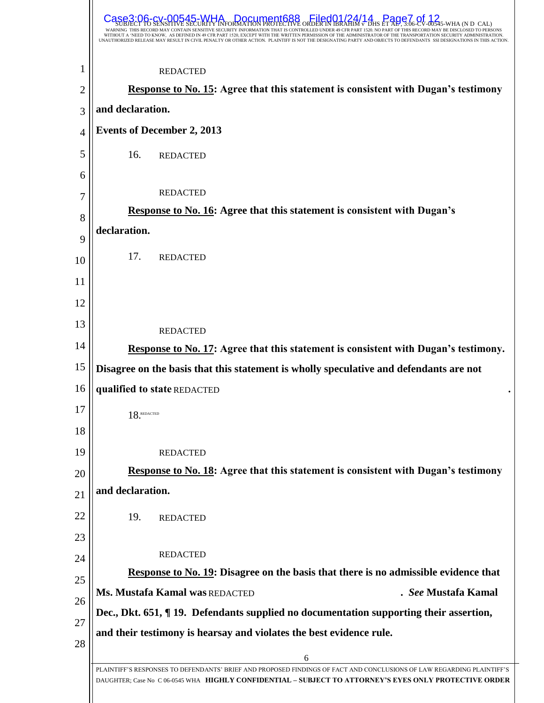| UNAUTHORIZED RELEASE MAY RESULT IN CIVIL PENALTY OR OTHER ACTION.  PLAINTIFF IS NOT THE DESIGNATING PARTY AND OBJECTS TO DEFENDANTS | 00545-WHA Document688 Filed01/24/14 Page7.ot<br>WITHOUT A 'NEED TO KNOW. AS DEFINED IN 49 CFR PART 1520, EXCEPT WITH THE WRITTEN PERMISSION OF THE ADMINISTRATOR OF THE TRANSPORTATION SECURITY ADMINISTRATION. |
|-------------------------------------------------------------------------------------------------------------------------------------|-----------------------------------------------------------------------------------------------------------------------------------------------------------------------------------------------------------------|
| <b>REDACTED</b>                                                                                                                     |                                                                                                                                                                                                                 |
|                                                                                                                                     | <b>Response to No. 15:</b> Agree that this statement is consistent with Dugan's testimony                                                                                                                       |
| and declaration.                                                                                                                    |                                                                                                                                                                                                                 |
| <b>Events of December 2, 2013</b>                                                                                                   |                                                                                                                                                                                                                 |
| 16.<br><b>REDACTED</b>                                                                                                              |                                                                                                                                                                                                                 |
|                                                                                                                                     |                                                                                                                                                                                                                 |
| <b>REDACTED</b>                                                                                                                     |                                                                                                                                                                                                                 |
| <b>Response to No. 16: Agree that this statement is consistent with Dugan's</b>                                                     |                                                                                                                                                                                                                 |
| declaration.                                                                                                                        |                                                                                                                                                                                                                 |
| 17.<br><b>REDACTED</b>                                                                                                              |                                                                                                                                                                                                                 |
|                                                                                                                                     |                                                                                                                                                                                                                 |
|                                                                                                                                     |                                                                                                                                                                                                                 |
|                                                                                                                                     |                                                                                                                                                                                                                 |
| <b>REDACTED</b>                                                                                                                     |                                                                                                                                                                                                                 |
|                                                                                                                                     | Response to No. 17: Agree that this statement is consistent with Dugan's testimony.                                                                                                                             |
|                                                                                                                                     | Disagree on the basis that this statement is wholly speculative and defendants are not                                                                                                                          |
| qualified to state REDACTED                                                                                                         |                                                                                                                                                                                                                 |
| $18$ . REDACTED                                                                                                                     |                                                                                                                                                                                                                 |
|                                                                                                                                     |                                                                                                                                                                                                                 |
| <b>REDACTED</b>                                                                                                                     |                                                                                                                                                                                                                 |
|                                                                                                                                     | <b>Response to No. 18:</b> Agree that this statement is consistent with Dugan's testimony                                                                                                                       |
| and declaration.                                                                                                                    |                                                                                                                                                                                                                 |
| 19.<br><b>REDACTED</b>                                                                                                              |                                                                                                                                                                                                                 |
|                                                                                                                                     |                                                                                                                                                                                                                 |
| <b>REDACTED</b>                                                                                                                     |                                                                                                                                                                                                                 |
|                                                                                                                                     | Response to No. 19: Disagree on the basis that there is no admissible evidence that                                                                                                                             |
| Ms. Mustafa Kamal was REDACTED                                                                                                      | . See Mustafa Kamal                                                                                                                                                                                             |
|                                                                                                                                     | Dec., Dkt. 651, ¶ 19. Defendants supplied no documentation supporting their assertion,                                                                                                                          |
| and their testimony is hearsay and violates the best evidence rule.                                                                 |                                                                                                                                                                                                                 |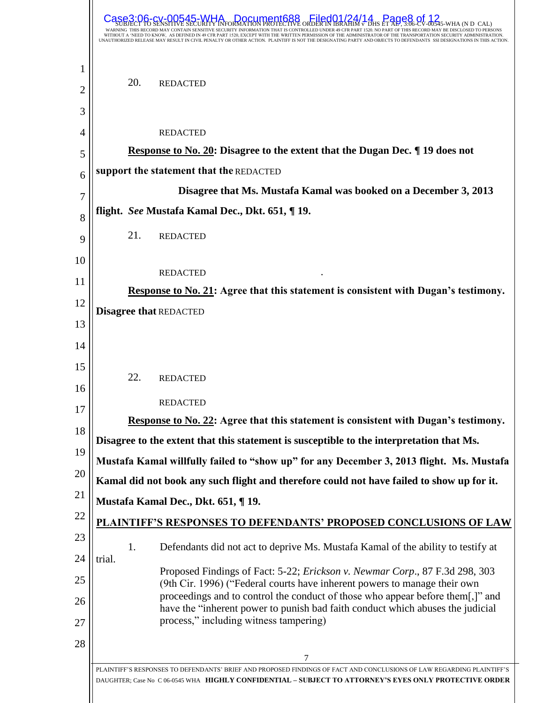|                      | <b>A Document688</b><br>Eiled01/24/14<br>$\frac{1}{2}$ 0545-WHA (N D CAL)<br>WITHOUT A 'NEED TO KNOW. AS DEFINED IN 49 CFR PART 1520, EXCEPT WITH THE WRITTEN PERMISSION OF THE ADMINISTRATOR OF THE TRANSPORTATION SECURITY ADMINISTRATION.<br>UNAUTHORIZED RELEASE MAY RESULT IN CIVIL PENALTY OR OTHER ACTION. PLAINTIFF IS NOT THE DESIGNATING PARTY AND OBJECTS TO DEFENDANTS |     |                                                                                                                                                                                                                                                                                                                                                                        |  |
|----------------------|------------------------------------------------------------------------------------------------------------------------------------------------------------------------------------------------------------------------------------------------------------------------------------------------------------------------------------------------------------------------------------|-----|------------------------------------------------------------------------------------------------------------------------------------------------------------------------------------------------------------------------------------------------------------------------------------------------------------------------------------------------------------------------|--|
| 1<br>2               |                                                                                                                                                                                                                                                                                                                                                                                    | 20. | <b>REDACTED</b>                                                                                                                                                                                                                                                                                                                                                        |  |
| 3<br>4<br>5          |                                                                                                                                                                                                                                                                                                                                                                                    |     | <b>REDACTED</b><br><b>Response to No. 20: Disagree to the extent that the Dugan Dec.</b> If 19 does not<br>support the statement that the REDACTED                                                                                                                                                                                                                     |  |
| 6                    |                                                                                                                                                                                                                                                                                                                                                                                    |     | Disagree that Ms. Mustafa Kamal was booked on a December 3, 2013                                                                                                                                                                                                                                                                                                       |  |
| 7                    |                                                                                                                                                                                                                                                                                                                                                                                    |     | flight. See Mustafa Kamal Dec., Dkt. 651, ¶ 19.                                                                                                                                                                                                                                                                                                                        |  |
| 8<br>9               |                                                                                                                                                                                                                                                                                                                                                                                    | 21. | <b>REDACTED</b>                                                                                                                                                                                                                                                                                                                                                        |  |
| 10<br>11             |                                                                                                                                                                                                                                                                                                                                                                                    |     | <b>REDACTED</b><br>Response to No. 21: Agree that this statement is consistent with Dugan's testimony.                                                                                                                                                                                                                                                                 |  |
| 12<br>13<br>14       |                                                                                                                                                                                                                                                                                                                                                                                    |     | <b>Disagree that REDACTED</b>                                                                                                                                                                                                                                                                                                                                          |  |
| 15<br>16             |                                                                                                                                                                                                                                                                                                                                                                                    | 22. | <b>REDACTED</b>                                                                                                                                                                                                                                                                                                                                                        |  |
| 17                   |                                                                                                                                                                                                                                                                                                                                                                                    |     | <b>REDACTED</b>                                                                                                                                                                                                                                                                                                                                                        |  |
| 18                   |                                                                                                                                                                                                                                                                                                                                                                                    |     | Response to No. 22: Agree that this statement is consistent with Dugan's testimony.                                                                                                                                                                                                                                                                                    |  |
| 19                   |                                                                                                                                                                                                                                                                                                                                                                                    |     | Disagree to the extent that this statement is susceptible to the interpretation that Ms.                                                                                                                                                                                                                                                                               |  |
| 20                   |                                                                                                                                                                                                                                                                                                                                                                                    |     | Mustafa Kamal willfully failed to "show up" for any December 3, 2013 flight. Ms. Mustafa                                                                                                                                                                                                                                                                               |  |
|                      | Kamal did not book any such flight and therefore could not have failed to show up for it.                                                                                                                                                                                                                                                                                          |     |                                                                                                                                                                                                                                                                                                                                                                        |  |
| 21<br>22             | Mustafa Kamal Dec., Dkt. 651, ¶19.                                                                                                                                                                                                                                                                                                                                                 |     |                                                                                                                                                                                                                                                                                                                                                                        |  |
| 23                   |                                                                                                                                                                                                                                                                                                                                                                                    | 1.  | <u>PLAINTIFF'S RESPONSES TO DEFENDANTS' PROPOSED CONCLUSIONS OF LAW</u><br>Defendants did not act to deprive Ms. Mustafa Kamal of the ability to testify at                                                                                                                                                                                                            |  |
| 24<br>25<br>26<br>27 | trial.                                                                                                                                                                                                                                                                                                                                                                             |     | Proposed Findings of Fact: 5-22; Erickson v. Newmar Corp., 87 F.3d 298, 303<br>(9th Cir. 1996) ("Federal courts have inherent powers to manage their own<br>proceedings and to control the conduct of those who appear before them[,]" and<br>have the "inherent power to punish bad faith conduct which abuses the judicial<br>process," including witness tampering) |  |
| 28                   |                                                                                                                                                                                                                                                                                                                                                                                    |     | 7                                                                                                                                                                                                                                                                                                                                                                      |  |
|                      |                                                                                                                                                                                                                                                                                                                                                                                    |     | PLAINTIFF'S RESPONSES TO DEFENDANTS' BRIEF AND PROPOSED FINDINGS OF FACT AND CONCLUSIONS OF LAW REGARDING PLAINTIFF'S<br>DAUGHTER; Case No C 06-0545 WHA HIGHLY CONFIDENTIAL - SUBJECT TO ATTORNEY'S EYES ONLY PROTECTIVE ORDER                                                                                                                                        |  |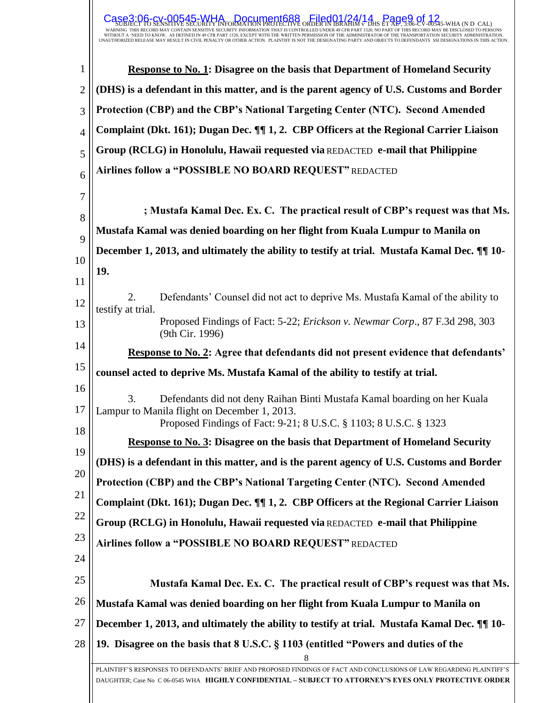## SUBJECT TO SENSITIVE SECURITY INFORMATION PROTECTIVE ORDER IN IBRAHIM <del>6</del> DHS ET AL, 3.06-CV-00545-WHA (N D CAL)<br>warning this record may contain sensitive security information that is controlled under 49 cfr part 1520. No  $\textsf{Case3:06-cy-00545-WHA}_{\textsf{E2}}$  Document688  $\textsf{CEB4}$  Page9 of 12

| 1              | <b>Response to No. 1: Disagree on the basis that Department of Homeland Security</b>                                                                                                                                            |  |  |  |
|----------------|---------------------------------------------------------------------------------------------------------------------------------------------------------------------------------------------------------------------------------|--|--|--|
| $\overline{2}$ | (DHS) is a defendant in this matter, and is the parent agency of U.S. Customs and Border                                                                                                                                        |  |  |  |
| 3              | Protection (CBP) and the CBP's National Targeting Center (NTC). Second Amended                                                                                                                                                  |  |  |  |
| $\overline{4}$ | Complaint (Dkt. 161); Dugan Dec. ¶ 1, 2. CBP Officers at the Regional Carrier Liaison                                                                                                                                           |  |  |  |
| 5              | Group (RCLG) in Honolulu, Hawaii requested via REDACTED e-mail that Philippine                                                                                                                                                  |  |  |  |
| 6              | Airlines follow a "POSSIBLE NO BOARD REQUEST" REDACTED                                                                                                                                                                          |  |  |  |
| $\tau$         |                                                                                                                                                                                                                                 |  |  |  |
| 8              | ; Mustafa Kamal Dec. Ex. C. The practical result of CBP's request was that Ms.                                                                                                                                                  |  |  |  |
| 9              | Mustafa Kamal was denied boarding on her flight from Kuala Lumpur to Manila on                                                                                                                                                  |  |  |  |
| 10             | December 1, 2013, and ultimately the ability to testify at trial. Mustafa Kamal Dec. II 10-                                                                                                                                     |  |  |  |
|                | 19.                                                                                                                                                                                                                             |  |  |  |
| 11             | 2.<br>Defendants' Counsel did not act to deprive Ms. Mustafa Kamal of the ability to                                                                                                                                            |  |  |  |
| 12             | testify at trial.<br>Proposed Findings of Fact: 5-22; <i>Erickson v. Newmar Corp.</i> , 87 F.3d 298, 303                                                                                                                        |  |  |  |
| 13             | (9th Cir. 1996)                                                                                                                                                                                                                 |  |  |  |
| 14             | Response to No. 2: Agree that defendants did not present evidence that defendants'                                                                                                                                              |  |  |  |
| 15             | counsel acted to deprive Ms. Mustafa Kamal of the ability to testify at trial.                                                                                                                                                  |  |  |  |
| 16             | 3.<br>Defendants did not deny Raihan Binti Mustafa Kamal boarding on her Kuala                                                                                                                                                  |  |  |  |
| 17             | Lampur to Manila flight on December 1, 2013.<br>Proposed Findings of Fact: 9-21; 8 U.S.C. § 1103; 8 U.S.C. § 1323                                                                                                               |  |  |  |
| 18             | Response to No. 3: Disagree on the basis that Department of Homeland Security                                                                                                                                                   |  |  |  |
| 19             | (DHS) is a defendant in this matter, and is the parent agency of U.S. Customs and Border                                                                                                                                        |  |  |  |
| 20             | Protection (CBP) and the CBP's National Targeting Center (NTC). Second Amended                                                                                                                                                  |  |  |  |
| 21             | Complaint (Dkt. 161); Dugan Dec. ¶ 1, 2. CBP Officers at the Regional Carrier Liaison                                                                                                                                           |  |  |  |
| 22             | Group (RCLG) in Honolulu, Hawaii requested via REDACTED e-mail that Philippine                                                                                                                                                  |  |  |  |
| 23             | Airlines follow a "POSSIBLE NO BOARD REQUEST" REDACTED                                                                                                                                                                          |  |  |  |
| 24             |                                                                                                                                                                                                                                 |  |  |  |
| 25             | Mustafa Kamal Dec. Ex. C. The practical result of CBP's request was that Ms.                                                                                                                                                    |  |  |  |
| 26             | Mustafa Kamal was denied boarding on her flight from Kuala Lumpur to Manila on                                                                                                                                                  |  |  |  |
| 27             | December 1, 2013, and ultimately the ability to testify at trial. Mustafa Kamal Dec. II 10-                                                                                                                                     |  |  |  |
| 28             | 19. Disagree on the basis that 8 U.S.C. § 1103 (entitled "Powers and duties of the                                                                                                                                              |  |  |  |
|                | 8                                                                                                                                                                                                                               |  |  |  |
|                | PLAINTIFF'S RESPONSES TO DEFENDANTS' BRIEF AND PROPOSED FINDINGS OF FACT AND CONCLUSIONS OF LAW REGARDING PLAINTIFF'S<br>DAUGHTER: Case No C 06-0545 WHA HIGHLY CONFIDENTIAL – SUBJECT TO ATTORNEY'S EYES ONLY PROTECTIVE ORDER |  |  |  |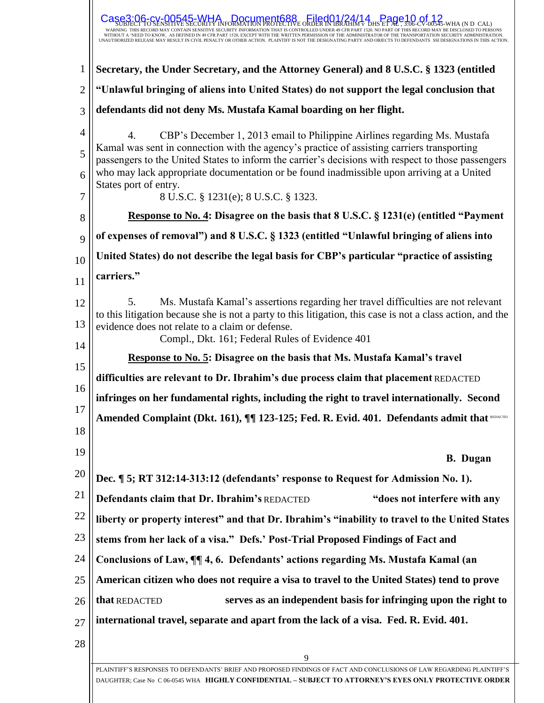|                | $_5$ $\frac{[1.6001/24/14]}{2}$ $\frac{[1.6001/24/14]}{2}$<br>1545-WHA Document688<br>UT A 'NEED TO KNOW, AS DEFINED IN 49 CFR PART 1520, EXCEPT WITH THE WRITTEN PERMISSION OF THE ADMINISTRATOR OF THE TRANSPORTATION SECURITY ADMINISTRATION<br>JNAUTHORIZED RELEASE MAY RESULT IN CIVIL PENALTY OR OTHER ACTION. |  |  |  |  |
|----------------|----------------------------------------------------------------------------------------------------------------------------------------------------------------------------------------------------------------------------------------------------------------------------------------------------------------------|--|--|--|--|
| 1              | Secretary, the Under Secretary, and the Attorney General) and 8 U.S.C. § 1323 (entitled                                                                                                                                                                                                                              |  |  |  |  |
| $\overline{2}$ | "Unlawful bringing of aliens into United States) do not support the legal conclusion that                                                                                                                                                                                                                            |  |  |  |  |
| 3              | defendants did not deny Ms. Mustafa Kamal boarding on her flight.                                                                                                                                                                                                                                                    |  |  |  |  |
| $\overline{4}$ | CBP's December 1, 2013 email to Philippine Airlines regarding Ms. Mustafa<br>4.                                                                                                                                                                                                                                      |  |  |  |  |
| 5<br>6         | Kamal was sent in connection with the agency's practice of assisting carriers transporting<br>passengers to the United States to inform the carrier's decisions with respect to those passengers<br>who may lack appropriate documentation or be found inadmissible upon arriving at a United                        |  |  |  |  |
| 7              | States port of entry.<br>8 U.S.C. § 1231(e); 8 U.S.C. § 1323.                                                                                                                                                                                                                                                        |  |  |  |  |
| 8              | Response to No. 4: Disagree on the basis that 8 U.S.C. § 1231(e) (entitled "Payment                                                                                                                                                                                                                                  |  |  |  |  |
| 9              | of expenses of removal") and 8 U.S.C. § 1323 (entitled "Unlawful bringing of aliens into                                                                                                                                                                                                                             |  |  |  |  |
| 10             | United States) do not describe the legal basis for CBP's particular "practice of assisting                                                                                                                                                                                                                           |  |  |  |  |
| 11             | carriers."                                                                                                                                                                                                                                                                                                           |  |  |  |  |
| 12             | Ms. Mustafa Kamal's assertions regarding her travel difficulties are not relevant<br>5.                                                                                                                                                                                                                              |  |  |  |  |
| 13             | to this litigation because she is not a party to this litigation, this case is not a class action, and the<br>evidence does not relate to a claim or defense.<br>Compl., Dkt. 161; Federal Rules of Evidence 401                                                                                                     |  |  |  |  |
| 14             | Response to No. 5: Disagree on the basis that Ms. Mustafa Kamal's travel                                                                                                                                                                                                                                             |  |  |  |  |
| 15             | difficulties are relevant to Dr. Ibrahim's due process claim that placement REDACTED                                                                                                                                                                                                                                 |  |  |  |  |
| 16             | infringes on her fundamental rights, including the right to travel internationally. Second                                                                                                                                                                                                                           |  |  |  |  |
| 17<br>18       | Amended Complaint (Dkt. 161), $\P\P$ 123-125; Fed. R. Evid. 401. Defendants admit that REDACTEI                                                                                                                                                                                                                      |  |  |  |  |
| 19             |                                                                                                                                                                                                                                                                                                                      |  |  |  |  |
|                | <b>B.</b> Dugan                                                                                                                                                                                                                                                                                                      |  |  |  |  |
| 20             | Dec. ¶ 5; RT 312:14-313:12 (defendants' response to Request for Admission No. 1).                                                                                                                                                                                                                                    |  |  |  |  |
| 21             | Defendants claim that Dr. Ibrahim's REDACTED<br>"does not interfere with any                                                                                                                                                                                                                                         |  |  |  |  |
| 22             | liberty or property interest" and that Dr. Ibrahim's "inability to travel to the United States                                                                                                                                                                                                                       |  |  |  |  |
| 23             | stems from her lack of a visa." Defs.' Post-Trial Proposed Findings of Fact and                                                                                                                                                                                                                                      |  |  |  |  |
| 24             | Conclusions of Law, ¶ 4, 6. Defendants' actions regarding Ms. Mustafa Kamal (an                                                                                                                                                                                                                                      |  |  |  |  |
| 25             | American citizen who does not require a visa to travel to the United States) tend to prove                                                                                                                                                                                                                           |  |  |  |  |
| 26             | that REDACTED<br>serves as an independent basis for infringing upon the right to                                                                                                                                                                                                                                     |  |  |  |  |
| 27             | international travel, separate and apart from the lack of a visa. Fed. R. Evid. 401.                                                                                                                                                                                                                                 |  |  |  |  |
| 28             |                                                                                                                                                                                                                                                                                                                      |  |  |  |  |
|                | 9                                                                                                                                                                                                                                                                                                                    |  |  |  |  |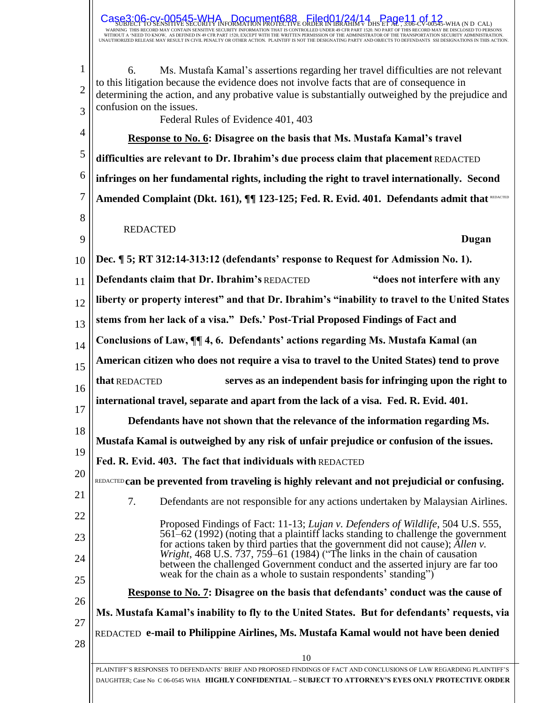|                | O SENSITIVE SECURITY INFORMATION PROTECTIVE ORDER IN IBRAHIM V  DHS ET AL , 3:06-CV-00545-WHA (N D  CAL)                                                                                                                                                |  |  |  |  |  |
|----------------|---------------------------------------------------------------------------------------------------------------------------------------------------------------------------------------------------------------------------------------------------------|--|--|--|--|--|
| $\mathbf{1}$   | Ms. Mustafa Kamal's assertions regarding her travel difficulties are not relevant<br>6.                                                                                                                                                                 |  |  |  |  |  |
| $\overline{2}$ | to this litigation because the evidence does not involve facts that are of consequence in<br>determining the action, and any probative value is substantially outweighed by the prejudice and<br>confusion on the issues.                               |  |  |  |  |  |
| 3              | Federal Rules of Evidence 401, 403                                                                                                                                                                                                                      |  |  |  |  |  |
| 4              | Response to No. 6: Disagree on the basis that Ms. Mustafa Kamal's travel                                                                                                                                                                                |  |  |  |  |  |
| 5              | difficulties are relevant to Dr. Ibrahim's due process claim that placement REDACTED                                                                                                                                                                    |  |  |  |  |  |
| 6              | infringes on her fundamental rights, including the right to travel internationally. Second                                                                                                                                                              |  |  |  |  |  |
| 7              | Amended Complaint (Dkt. 161), II 123-125; Fed. R. Evid. 401. Defendants admit that REDACTED                                                                                                                                                             |  |  |  |  |  |
| 8              | <b>REDACTED</b>                                                                                                                                                                                                                                         |  |  |  |  |  |
| 9              | Dugan                                                                                                                                                                                                                                                   |  |  |  |  |  |
| 10             | Dec. ¶ 5; RT 312:14-313:12 (defendants' response to Request for Admission No. 1).                                                                                                                                                                       |  |  |  |  |  |
| 11             | Defendants claim that Dr. Ibrahim's REDACTED<br>"does not interfere with any                                                                                                                                                                            |  |  |  |  |  |
| 12             | liberty or property interest" and that Dr. Ibrahim's "inability to travel to the United States                                                                                                                                                          |  |  |  |  |  |
| 13             | stems from her lack of a visa." Defs.' Post-Trial Proposed Findings of Fact and                                                                                                                                                                         |  |  |  |  |  |
| 14             | Conclusions of Law, ¶ 4, 6. Defendants' actions regarding Ms. Mustafa Kamal (an                                                                                                                                                                         |  |  |  |  |  |
| 15             | American citizen who does not require a visa to travel to the United States) tend to prove                                                                                                                                                              |  |  |  |  |  |
| 16             | serves as an independent basis for infringing upon the right to<br>that REDACTED                                                                                                                                                                        |  |  |  |  |  |
| 17             | international travel, separate and apart from the lack of a visa. Fed. R. Evid. 401.                                                                                                                                                                    |  |  |  |  |  |
| 18             | Defendants have not shown that the relevance of the information regarding Ms.                                                                                                                                                                           |  |  |  |  |  |
| 19             | Mustafa Kamal is outweighed by any risk of unfair prejudice or confusion of the issues.                                                                                                                                                                 |  |  |  |  |  |
|                | Fed. R. Evid. 403. The fact that individuals with REDACTED                                                                                                                                                                                              |  |  |  |  |  |
| 20             | REDACTED can be prevented from traveling is highly relevant and not prejudicial or confusing.                                                                                                                                                           |  |  |  |  |  |
| 21             | 7.<br>Defendants are not responsible for any actions undertaken by Malaysian Airlines.                                                                                                                                                                  |  |  |  |  |  |
| 22<br>23       | Proposed Findings of Fact: 11-13; Lujan v. Defenders of Wildlife, 504 U.S. 555,<br>561–62 (1992) (noting that a plaintiff lacks standing to challenge the government<br>for actions taken by third parties that the government did not cause); Allen v. |  |  |  |  |  |
| 24<br>25       | <i>Wright</i> , 468 U.S. $\overline{7}37$ , 759–61 (1984) ("The links in the chain of causation<br>between the challenged Government conduct and the asserted injury are far too<br>weak for the chain as a whole to sustain respondents' standing"     |  |  |  |  |  |
| 26             | <b>Response to No. 7: Disagree on the basis that defendants' conduct was the cause of</b>                                                                                                                                                               |  |  |  |  |  |
| 27             | Ms. Mustafa Kamal's inability to fly to the United States. But for defendants' requests, via                                                                                                                                                            |  |  |  |  |  |
| 28             | REDACTED e-mail to Philippine Airlines, Ms. Mustafa Kamal would not have been denied                                                                                                                                                                    |  |  |  |  |  |
|                | 10                                                                                                                                                                                                                                                      |  |  |  |  |  |
|                | PLAINTIFF'S RESPONSES TO DEFENDANTS' BRIEF AND PROPOSED FINDINGS OF FACT AND CONCLUSIONS OF LAW REGARDING PLAINTIFF'S                                                                                                                                   |  |  |  |  |  |

 $\textsf{Case3:06-cv-00545-WHA}$  Document688 Filed01/24/14  $\textsf{Case3:06-11}$  of 12

DAUGHTER; Case No C 06-0545 WHA **HIGHLY CONFIDENTIAL – SUBJECT TO ATTORNEY'S EYES ONLY PROTECTIVE ORDER**